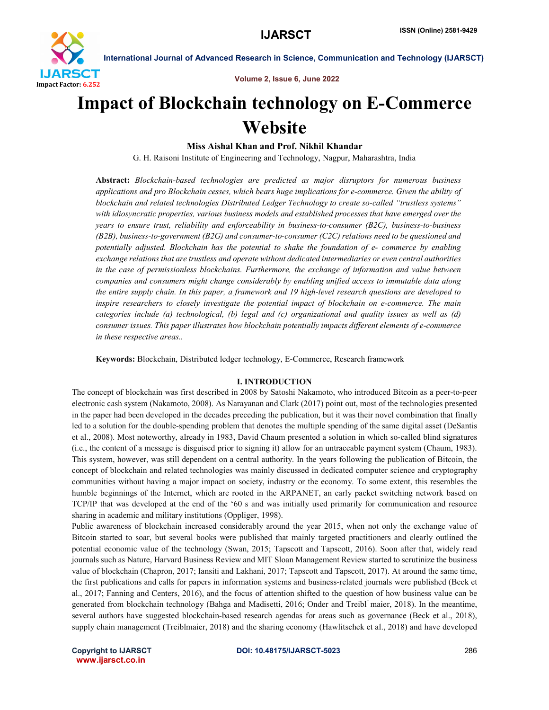

Volume 2, Issue 6, June 2022

# Impact of Blockchain technology on E-Commerce Website

Miss Aishal Khan and Prof. Nikhil Khandar

G. H. Raisoni Institute of Engineering and Technology, Nagpur, Maharashtra, India

Abstract: *Blockchain-based technologies are predicted as major disruptors for numerous business applications and pro Blockchain cesses, which bears huge implications for e-commerce. Given the ability of blockchain and related technologies Distributed Ledger Technology to create so-called "trustless systems" with idiosyncratic properties, various business models and established processes that have emerged over the years to ensure trust, reliability and enforceability in business-to-consumer (B2C), business-to-business (B2B), business-to-government (B2G) and consumer-to-consumer (C2C) relations need to be questioned and potentially adjusted. Blockchain has the potential to shake the foundation of e- commerce by enabling exchange relations that are trustless and operate without dedicated intermediaries or even central authorities in the case of permissionless blockchains. Furthermore, the exchange of information and value between companies and consumers might change considerably by enabling unified access to immutable data along the entire supply chain. In this paper, a framework and 19 high-level research questions are developed to inspire researchers to closely investigate the potential impact of blockchain on e-commerce. The main categories include (a) technological, (b) legal and (c) organizational and quality issues as well as (d) consumer issues. This paper illustrates how blockchain potentially impacts different elements of e-commerce in these respective areas..*

Keywords: Blockchain, Distributed ledger technology, E-Commerce, Research framework

# I. INTRODUCTION

The concept of blockchain was first described in 2008 by Satoshi Nakamoto, who introduced Bitcoin as a peer-to-peer electronic cash system (Nakamoto, 2008). As Narayanan and Clark (2017) point out, most of the technologies presented in the paper had been developed in the decades preceding the publication, but it was their novel combination that finally led to a solution for the double-spending problem that denotes the multiple spending of the same digital asset (DeSantis et al., 2008). Most noteworthy, already in 1983, David Chaum presented a solution in which so-called blind signatures (i.e., the content of a message is disguised prior to signing it) allow for an untraceable payment system (Chaum, 1983). This system, however, was still dependent on a central authority. In the years following the publication of Bitcoin, the concept of blockchain and related technologies was mainly discussed in dedicated computer science and cryptography communities without having a major impact on society, industry or the economy. To some extent, this resembles the humble beginnings of the Internet, which are rooted in the ARPANET, an early packet switching network based on TCP/IP that was developed at the end of the '60 s and was initially used primarily for communication and resource sharing in academic and military institutions (Oppliger, 1998).

Public awareness of blockchain increased considerably around the year 2015, when not only the exchange value of Bitcoin started to soar, but several books were published that mainly targeted practitioners and clearly outlined the potential economic value of the technology (Swan, 2015; Tapscott and Tapscott, 2016). Soon after that, widely read journals such as Nature, Harvard Business Review and MIT Sloan Management Review started to scrutinize the business value of blockchain (Chapron, 2017; Iansiti and Lakhani, 2017; Tapscott and Tapscott, 2017). At around the same time, the first publications and calls for papers in information systems and business-related journals were published (Beck et al., 2017; Fanning and Centers, 2016), and the focus of attention shifted to the question of how business value can be generated from blockchain technology (Bahga and Madisetti, 2016; Onder and Treibl¨ maier, 2018). In the meantime, several authors have suggested blockchain-based research agendas for areas such as governance (Beck et al., 2018), supply chain management (Treiblmaier, 2018) and the sharing economy (Hawlitschek et al., 2018) and have developed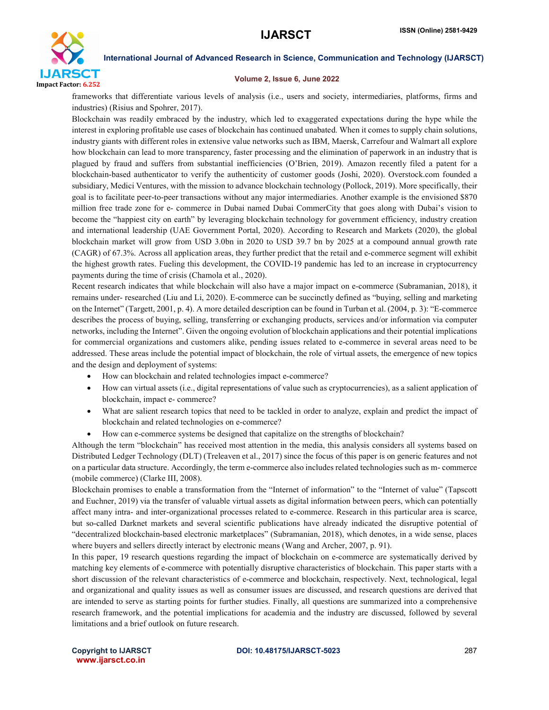

# Volume 2, Issue 6, June 2022

frameworks that differentiate various levels of analysis (i.e., users and society, intermediaries, platforms, firms and industries) (Risius and Spohrer, 2017).

Blockchain was readily embraced by the industry, which led to exaggerated expectations during the hype while the interest in exploring profitable use cases of blockchain has continued unabated. When it comes to supply chain solutions, industry giants with different roles in extensive value networks such as IBM, Maersk, Carrefour and Walmart all explore how blockchain can lead to more transparency, faster processing and the elimination of paperwork in an industry that is plagued by fraud and suffers from substantial inefficiencies (O'Brien, 2019). Amazon recently filed a patent for a blockchain-based authenticator to verify the authenticity of customer goods (Joshi, 2020). Overstock.com founded a subsidiary, Medici Ventures, with the mission to advance blockchain technology (Pollock, 2019). More specifically, their goal is to facilitate peer-to-peer transactions without any major intermediaries. Another example is the envisioned \$870 million free trade zone for e- commerce in Dubai named Dubai CommerCity that goes along with Dubai's vision to become the "happiest city on earth" by leveraging blockchain technology for government efficiency, industry creation and international leadership (UAE Government Portal, 2020). According to Research and Markets (2020), the global blockchain market will grow from USD 3.0bn in 2020 to USD 39.7 bn by 2025 at a compound annual growth rate (CAGR) of 67.3%. Across all application areas, they further predict that the retail and e-commerce segment will exhibit the highest growth rates. Fueling this development, the COVID-19 pandemic has led to an increase in cryptocurrency payments during the time of crisis (Chamola et al., 2020).

Recent research indicates that while blockchain will also have a major impact on e-commerce (Subramanian, 2018), it remains under- researched (Liu and Li, 2020). E-commerce can be succinctly defined as "buying, selling and marketing on the Internet" (Targett, 2001, p. 4). A more detailed description can be found in Turban et al. (2004, p. 3): "E-commerce describes the process of buying, selling, transferring or exchanging products, services and/or information via computer networks, including the Internet". Given the ongoing evolution of blockchain applications and their potential implications for commercial organizations and customers alike, pending issues related to e-commerce in several areas need to be addressed. These areas include the potential impact of blockchain, the role of virtual assets, the emergence of new topics and the design and deployment of systems:

- How can blockchain and related technologies impact e-commerce?
- How can virtual assets (i.e., digital representations of value such as cryptocurrencies), as a salient application of blockchain, impact e- commerce?
- What are salient research topics that need to be tackled in order to analyze, explain and predict the impact of blockchain and related technologies on e-commerce?
- How can e-commerce systems be designed that capitalize on the strengths of blockchain?

Although the term "blockchain" has received most attention in the media, this analysis considers all systems based on Distributed Ledger Technology (DLT) (Treleaven et al., 2017) since the focus of this paper is on generic features and not on a particular data structure. Accordingly, the term e-commerce also includes related technologies such as m- commerce (mobile commerce) (Clarke III, 2008).

Blockchain promises to enable a transformation from the "Internet of information" to the "Internet of value" (Tapscott and Euchner, 2019) via the transfer of valuable virtual assets as digital information between peers, which can potentially affect many intra- and inter-organizational processes related to e-commerce. Research in this particular area is scarce, but so-called Darknet markets and several scientific publications have already indicated the disruptive potential of "decentralized blockchain-based electronic marketplaces" (Subramanian, 2018), which denotes, in a wide sense, places where buyers and sellers directly interact by electronic means (Wang and Archer, 2007, p. 91).

In this paper, 19 research questions regarding the impact of blockchain on e-commerce are systematically derived by matching key elements of e-commerce with potentially disruptive characteristics of blockchain. This paper starts with a short discussion of the relevant characteristics of e-commerce and blockchain, respectively. Next, technological, legal and organizational and quality issues as well as consumer issues are discussed, and research questions are derived that are intended to serve as starting points for further studies. Finally, all questions are summarized into a comprehensive research framework, and the potential implications for academia and the industry are discussed, followed by several limitations and a brief outlook on future research.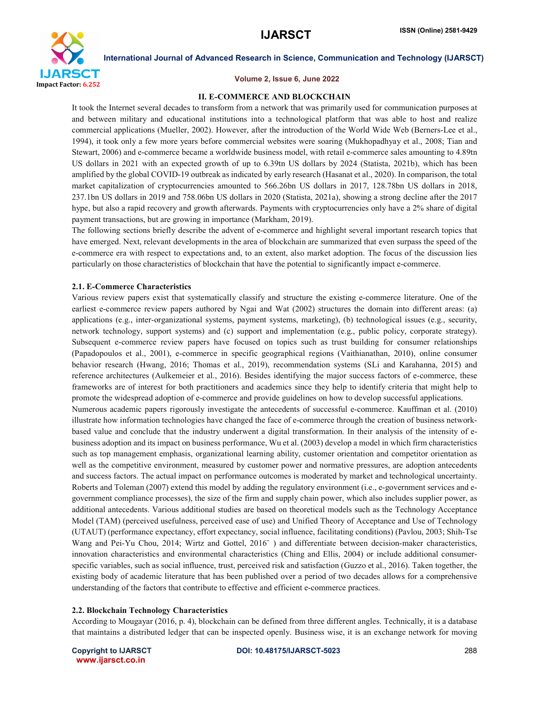

# Volume 2, Issue 6, June 2022

# II. E-COMMERCE AND BLOCKCHAIN

It took the Internet several decades to transform from a network that was primarily used for communication purposes at and between military and educational institutions into a technological platform that was able to host and realize commercial applications (Mueller, 2002). However, after the introduction of the World Wide Web (Berners-Lee et al., 1994), it took only a few more years before commercial websites were soaring (Mukhopadhyay et al., 2008; Tian and Stewart, 2006) and e-commerce became a worldwide business model, with retail e-commerce sales amounting to 4.89tn US dollars in 2021 with an expected growth of up to 6.39tn US dollars by 2024 (Statista, 2021b), which has been amplified by the global COVID-19 outbreak as indicated by early research (Hasanat et al., 2020). In comparison, the total market capitalization of cryptocurrencies amounted to 566.26bn US dollars in 2017, 128.78bn US dollars in 2018, 237.1bn US dollars in 2019 and 758.06bn US dollars in 2020 (Statista, 2021a), showing a strong decline after the 2017 hype, but also a rapid recovery and growth afterwards. Payments with cryptocurrencies only have a 2% share of digital payment transactions, but are growing in importance (Markham, 2019).

The following sections briefly describe the advent of e-commerce and highlight several important research topics that have emerged. Next, relevant developments in the area of blockchain are summarized that even surpass the speed of the e-commerce era with respect to expectations and, to an extent, also market adoption. The focus of the discussion lies particularly on those characteristics of blockchain that have the potential to significantly impact e-commerce.

# 2.1. E-Commerce Characteristics

Various review papers exist that systematically classify and structure the existing e-commerce literature. One of the earliest e-commerce review papers authored by Ngai and Wat (2002) structures the domain into different areas: (a) applications (e.g., inter-organizational systems, payment systems, marketing), (b) technological issues (e.g., security, network technology, support systems) and (c) support and implementation (e.g., public policy, corporate strategy). Subsequent e-commerce review papers have focused on topics such as trust building for consumer relationships (Papadopoulos et al., 2001), e-commerce in specific geographical regions (Vaithianathan, 2010), online consumer behavior research (Hwang, 2016; Thomas et al., 2019), recommendation systems (SLi and Karahanna, 2015) and reference architectures (Aulkemeier et al., 2016). Besides identifying the major success factors of e-commerce, these frameworks are of interest for both practitioners and academics since they help to identify criteria that might help to promote the widespread adoption of e-commerce and provide guidelines on how to develop successful applications. Numerous academic papers rigorously investigate the antecedents of successful e-commerce. Kauffman et al. (2010) illustrate how information technologies have changed the face of e-commerce through the creation of business networkbased value and conclude that the industry underwent a digital transformation. In their analysis of the intensity of ebusiness adoption and its impact on business performance, Wu et al. (2003) develop a model in which firm characteristics such as top management emphasis, organizational learning ability, customer orientation and competitor orientation as well as the competitive environment, measured by customer power and normative pressures, are adoption antecedents and success factors. The actual impact on performance outcomes is moderated by market and technological uncertainty. Roberts and Toleman (2007) extend this model by adding the regulatory environment (i.e., e-government services and egovernment compliance processes), the size of the firm and supply chain power, which also includes supplier power, as additional antecedents. Various additional studies are based on theoretical models such as the Technology Acceptance Model (TAM) (perceived usefulness, perceived ease of use) and Unified Theory of Acceptance and Use of Technology (UTAUT) (performance expectancy, effort expectancy, social influence, facilitating conditions) (Pavlou, 2003; Shih-Tse Wang and Pei-Yu Chou, 2014; Wirtz and Gottel, 2016¨ ) and differentiate between decision-maker characteristics, innovation characteristics and environmental characteristics (Ching and Ellis, 2004) or include additional consumerspecific variables, such as social influence, trust, perceived risk and satisfaction (Guzzo et al., 2016). Taken together, the existing body of academic literature that has been published over a period of two decades allows for a comprehensive understanding of the factors that contribute to effective and efficient e-commerce practices.

### 2.2. Blockchain Technology Characteristics

According to Mougayar (2016, p. 4), blockchain can be defined from three different angles. Technically, it is a database that maintains a distributed ledger that can be inspected openly. Business wise, it is an exchange network for moving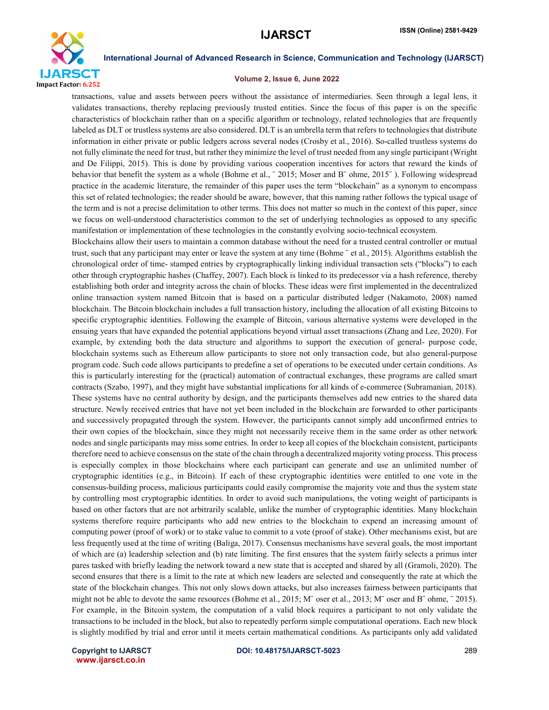

# Volume 2, Issue 6, June 2022

transactions, value and assets between peers without the assistance of intermediaries. Seen through a legal lens, it validates transactions, thereby replacing previously trusted entities. Since the focus of this paper is on the specific characteristics of blockchain rather than on a specific algorithm or technology, related technologies that are frequently labeled as DLT or trustless systems are also considered. DLT is an umbrella term that refers to technologies that distribute information in either private or public ledgers across several nodes (Crosby et al., 2016). So-called trustless systems do not fully eliminate the need for trust, but rather they minimize the level of trust needed from any single participant (Wright and De Filippi, 2015). This is done by providing various cooperation incentives for actors that reward the kinds of behavior that benefit the system as a whole (Bohme et al., ¨ 2015; Moser and B¨ ohme, 2015¨ ). Following widespread practice in the academic literature, the remainder of this paper uses the term "blockchain" as a synonym to encompass this set of related technologies; the reader should be aware, however, that this naming rather follows the typical usage of the term and is not a precise delimitation to other terms. This does not matter so much in the context of this paper, since we focus on well-understood characteristics common to the set of underlying technologies as opposed to any specific manifestation or implementation of these technologies in the constantly evolving socio-technical ecosystem.

Blockchains allow their users to maintain a common database without the need for a trusted central controller or mutual trust, such that any participant may enter or leave the system at any time (Bohme ¨ et al., 2015). Algorithms establish the chronological order of time- stamped entries by cryptographically linking individual transaction sets ("blocks") to each other through cryptographic hashes (Chaffey, 2007). Each block is linked to its predecessor via a hash reference, thereby establishing both order and integrity across the chain of blocks. These ideas were first implemented in the decentralized online transaction system named Bitcoin that is based on a particular distributed ledger (Nakamoto, 2008) named blockchain. The Bitcoin blockchain includes a full transaction history, including the allocation of all existing Bitcoins to specific cryptographic identities. Following the example of Bitcoin, various alternative systems were developed in the ensuing years that have expanded the potential applications beyond virtual asset transactions (Zhang and Lee, 2020). For example, by extending both the data structure and algorithms to support the execution of general- purpose code, blockchain systems such as Ethereum allow participants to store not only transaction code, but also general-purpose program code. Such code allows participants to predefine a set of operations to be executed under certain conditions. As this is particularly interesting for the (practical) automation of contractual exchanges, these programs are called smart contracts (Szabo, 1997), and they might have substantial implications for all kinds of e-commerce (Subramanian, 2018). These systems have no central authority by design, and the participants themselves add new entries to the shared data structure. Newly received entries that have not yet been included in the blockchain are forwarded to other participants and successively propagated through the system. However, the participants cannot simply add unconfirmed entries to their own copies of the blockchain, since they might not necessarily receive them in the same order as other network nodes and single participants may miss some entries. In order to keep all copies of the blockchain consistent, participants therefore need to achieve consensus on the state of the chain through a decentralized majority voting process. This process is especially complex in those blockchains where each participant can generate and use an unlimited number of cryptographic identities (e.g., in Bitcoin). If each of these cryptographic identities were entitled to one vote in the consensus-building process, malicious participants could easily compromise the majority vote and thus the system state by controlling most cryptographic identities. In order to avoid such manipulations, the voting weight of participants is based on other factors that are not arbitrarily scalable, unlike the number of cryptographic identities. Many blockchain systems therefore require participants who add new entries to the blockchain to expend an increasing amount of computing power (proof of work) or to stake value to commit to a vote (proof of stake). Other mechanisms exist, but are less frequently used at the time of writing (Baliga, 2017). Consensus mechanisms have several goals, the most important of which are (a) leadership selection and (b) rate limiting. The first ensures that the system fairly selects a primus inter pares tasked with briefly leading the network toward a new state that is accepted and shared by all (Gramoli, 2020). The second ensures that there is a limit to the rate at which new leaders are selected and consequently the rate at which the state of the blockchain changes. This not only slows down attacks, but also increases fairness between participants that might not be able to devote the same resources (Bohme et al., 2015; M¨ oser et al., 2013; M¨ oser and B¨ ohme, ¨ 2015). For example, in the Bitcoin system, the computation of a valid block requires a participant to not only validate the transactions to be included in the block, but also to repeatedly perform simple computational operations. Each new block is slightly modified by trial and error until it meets certain mathematical conditions. As participants only add validated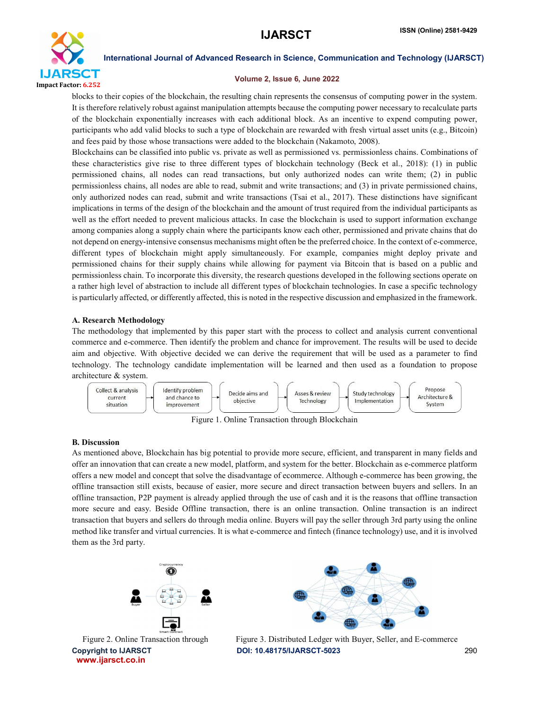

# Volume 2, Issue 6, June 2022

blocks to their copies of the blockchain, the resulting chain represents the consensus of computing power in the system. It is therefore relatively robust against manipulation attempts because the computing power necessary to recalculate parts of the blockchain exponentially increases with each additional block. As an incentive to expend computing power, participants who add valid blocks to such a type of blockchain are rewarded with fresh virtual asset units (e.g., Bitcoin) and fees paid by those whose transactions were added to the blockchain (Nakamoto, 2008).

Blockchains can be classified into public vs. private as well as permissioned vs. permissionless chains. Combinations of these characteristics give rise to three different types of blockchain technology (Beck et al., 2018): (1) in public permissioned chains, all nodes can read transactions, but only authorized nodes can write them; (2) in public permissionless chains, all nodes are able to read, submit and write transactions; and (3) in private permissioned chains, only authorized nodes can read, submit and write transactions (Tsai et al., 2017). These distinctions have significant implications in terms of the design of the blockchain and the amount of trust required from the individual participants as well as the effort needed to prevent malicious attacks. In case the blockchain is used to support information exchange among companies along a supply chain where the participants know each other, permissioned and private chains that do not depend on energy-intensive consensus mechanisms might often be the preferred choice. In the context of e-commerce, different types of blockchain might apply simultaneously. For example, companies might deploy private and permissioned chains for their supply chains while allowing for payment via Bitcoin that is based on a public and permissionless chain. To incorporate this diversity, the research questions developed in the following sections operate on a rather high level of abstraction to include all different types of blockchain technologies. In case a specific technology is particularly affected, or differently affected, this is noted in the respective discussion and emphasized in the framework.

# A. Research Methodology

The methodology that implemented by this paper start with the process to collect and analysis current conventional commerce and e-commerce. Then identify the problem and chance for improvement. The results will be used to decide aim and objective. With objective decided we can derive the requirement that will be used as a parameter to find technology. The technology candidate implementation will be learned and then used as a foundation to propose architecture & system.



Figure 1. Online Transaction through Blockchain

# B. Discussion

As mentioned above, Blockchain has big potential to provide more secure, efficient, and transparent in many fields and offer an innovation that can create a new model, platform, and system for the better. Blockchain as e-commerce platform offers a new model and concept that solve the disadvantage of ecommerce. Although e-commerce has been growing, the offline transaction still exists, because of easier, more secure and direct transaction between buyers and sellers. In an offline transaction, P2P payment is already applied through the use of cash and it is the reasons that offline transaction more secure and easy. Beside Offline transaction, there is an online transaction. Online transaction is an indirect transaction that buyers and sellers do through media online. Buyers will pay the seller through 3rd party using the online method like transfer and virtual currencies. It is what e-commerce and fintech (finance technology) use, and it is involved them as the 3rd party.



www.ijarsct.co.in



Copyright to IJARSCT **DOI: 10.48175/IJARSCT-5023** 290 Figure 2. Online Transaction through Figure 3. Distributed Ledger with Buyer, Seller, and E-commerce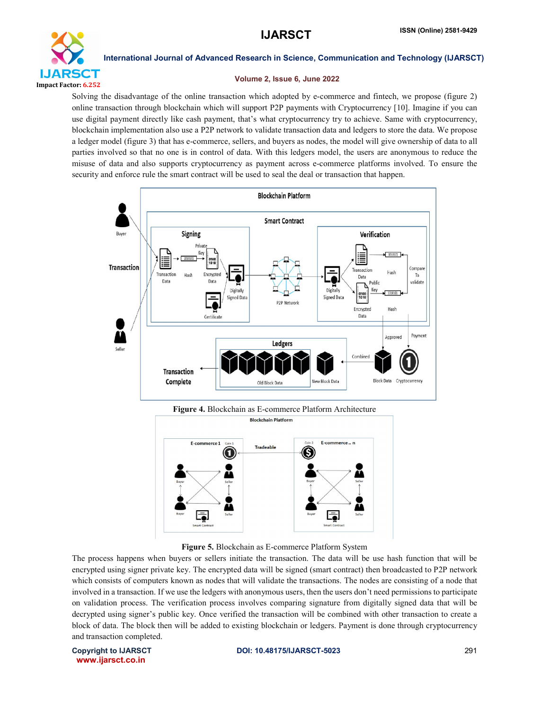

# Volume 2, Issue 6, June 2022

Solving the disadvantage of the online transaction which adopted by e-commerce and fintech, we propose (figure 2) online transaction through blockchain which will support P2P payments with Cryptocurrency [10]. Imagine if you can use digital payment directly like cash payment, that's what cryptocurrency try to achieve. Same with cryptocurrency, blockchain implementation also use a P2P network to validate transaction data and ledgers to store the data. We propose a ledger model (figure 3) that has e-commerce, sellers, and buyers as nodes, the model will give ownership of data to all parties involved so that no one is in control of data. With this ledgers model, the users are anonymous to reduce the misuse of data and also supports cryptocurrency as payment across e-commerce platforms involved. To ensure the security and enforce rule the smart contract will be used to seal the deal or transaction that happen.



# Figure 4. Blockchain as E-commerce Platform Architecture



Figure 5. Blockchain as E-commerce Platform System

The process happens when buyers or sellers initiate the transaction. The data will be use hash function that will be encrypted using signer private key. The encrypted data will be signed (smart contract) then broadcasted to P2P network which consists of computers known as nodes that will validate the transactions. The nodes are consisting of a node that involved in a transaction. If we use the ledgers with anonymous users, then the users don't need permissions to participate on validation process. The verification process involves comparing signature from digitally signed data that will be decrypted using signer's public key. Once verified the transaction will be combined with other transaction to create a block of data. The block then will be added to existing blockchain or ledgers. Payment is done through cryptocurrency and transaction completed.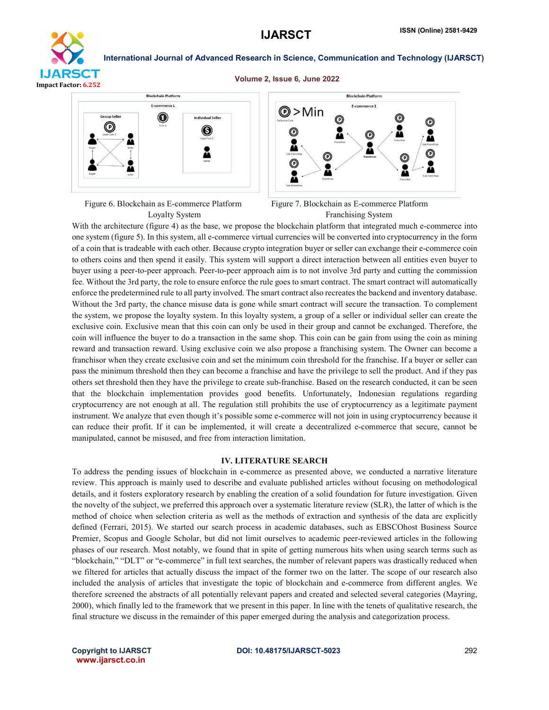

### Volume 2, Issue 6, June 2022



Figure 6. Blockchain as E-commerce Platform Figure 7. Blockchain as E-commerce Platform



Loyalty System Franchising System

With the architecture (figure 4) as the base, we propose the blockchain platform that integrated much e-commerce into one system (figure 5). In this system, all e-commerce virtual currencies will be converted into cryptocurrency in the form of a coin that is tradeable with each other. Because crypto integration buyer or seller can exchange their e-commerce coin to others coins and then spend it easily. This system will support a direct interaction between all entities even buyer to buyer using a peer-to-peer approach. Peer-to-peer approach aim is to not involve 3rd party and cutting the commission fee. Without the 3rd party, the role to ensure enforce the rule goes to smart contract. The smart contract will automatically enforce the predetermined rule to all party involved. The smart contract also recreates the backend and inventory database. Without the 3rd party, the chance misuse data is gone while smart contract will secure the transaction. To complement the system, we propose the loyalty system. In this loyalty system, a group of a seller or individual seller can create the exclusive coin. Exclusive mean that this coin can only be used in their group and cannot be exchanged. Therefore, the coin will influence the buyer to do a transaction in the same shop. This coin can be gain from using the coin as mining reward and transaction reward. Using exclusive coin we also propose a franchising system. The Owner can become a franchisor when they create exclusive coin and set the minimum coin threshold for the franchise. If a buyer or seller can pass the minimum threshold then they can become a franchise and have the privilege to sell the product. And if they pas others set threshold then they have the privilege to create sub-franchise. Based on the research conducted, it can be seen that the blockchain implementation provides good benefits. Unfortunately, Indonesian regulations regarding cryptocurrency are not enough at all. The regulation still prohibits the use of cryptocurrency as a legitimate payment instrument. We analyze that even though it's possible some e-commerce will not join in using cryptocurrency because it can reduce their profit. If it can be implemented, it will create a decentralized e-commerce that secure, cannot be manipulated, cannot be misused, and free from interaction limitation.

# IV. LITERATURE SEARCH

To address the pending issues of blockchain in e-commerce as presented above, we conducted a narrative literature review. This approach is mainly used to describe and evaluate published articles without focusing on methodological details, and it fosters exploratory research by enabling the creation of a solid foundation for future investigation. Given the novelty of the subject, we preferred this approach over a systematic literature review (SLR), the latter of which is the method of choice when selection criteria as well as the methods of extraction and synthesis of the data are explicitly defined (Ferrari, 2015). We started our search process in academic databases, such as EBSCOhost Business Source Premier, Scopus and Google Scholar, but did not limit ourselves to academic peer-reviewed articles in the following phases of our research. Most notably, we found that in spite of getting numerous hits when using search terms such as "blockchain," "DLT" or "e-commerce" in full text searches, the number of relevant papers was drastically reduced when we filtered for articles that actually discuss the impact of the former two on the latter. The scope of our research also included the analysis of articles that investigate the topic of blockchain and e-commerce from different angles. We therefore screened the abstracts of all potentially relevant papers and created and selected several categories (Mayring, 2000), which finally led to the framework that we present in this paper. In line with the tenets of qualitative research, the final structure we discuss in the remainder of this paper emerged during the analysis and categorization process.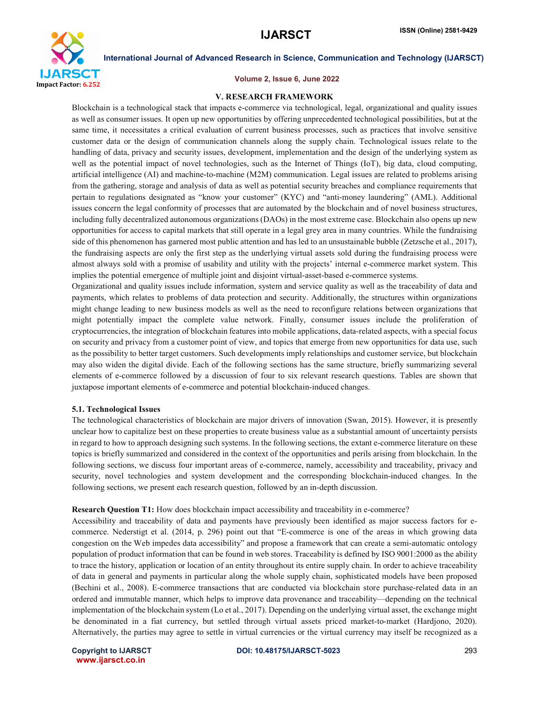

### Volume 2, Issue 6, June 2022

### V. RESEARCH FRAMEWORK

Blockchain is a technological stack that impacts e-commerce via technological, legal, organizational and quality issues as well as consumer issues. It open up new opportunities by offering unprecedented technological possibilities, but at the same time, it necessitates a critical evaluation of current business processes, such as practices that involve sensitive customer data or the design of communication channels along the supply chain. Technological issues relate to the handling of data, privacy and security issues, development, implementation and the design of the underlying system as well as the potential impact of novel technologies, such as the Internet of Things (IoT), big data, cloud computing, artificial intelligence (AI) and machine-to-machine (M2M) communication. Legal issues are related to problems arising from the gathering, storage and analysis of data as well as potential security breaches and compliance requirements that pertain to regulations designated as "know your customer" (KYC) and "anti-money laundering" (AML). Additional issues concern the legal conformity of processes that are automated by the blockchain and of novel business structures, including fully decentralized autonomous organizations (DAOs) in the most extreme case. Blockchain also opens up new opportunities for access to capital markets that still operate in a legal grey area in many countries. While the fundraising side of this phenomenon has garnered most public attention and has led to an unsustainable bubble (Zetzsche et al., 2017), the fundraising aspects are only the first step as the underlying virtual assets sold during the fundraising process were almost always sold with a promise of usability and utility with the projects' internal e-commerce market system. This implies the potential emergence of multiple joint and disjoint virtual-asset-based e-commerce systems.

Organizational and quality issues include information, system and service quality as well as the traceability of data and payments, which relates to problems of data protection and security. Additionally, the structures within organizations might change leading to new business models as well as the need to reconfigure relations between organizations that might potentially impact the complete value network. Finally, consumer issues include the proliferation of cryptocurrencies, the integration of blockchain features into mobile applications, data-related aspects, with a special focus on security and privacy from a customer point of view, and topics that emerge from new opportunities for data use, such as the possibility to better target customers. Such developments imply relationships and customer service, but blockchain may also widen the digital divide. Each of the following sections has the same structure, briefly summarizing several elements of e-commerce followed by a discussion of four to six relevant research questions. Tables are shown that juxtapose important elements of e-commerce and potential blockchain-induced changes.

### 5.1. Technological Issues

The technological characteristics of blockchain are major drivers of innovation (Swan, 2015). However, it is presently unclear how to capitalize best on these properties to create business value as a substantial amount of uncertainty persists in regard to how to approach designing such systems. In the following sections, the extant e-commerce literature on these topics is briefly summarized and considered in the context of the opportunities and perils arising from blockchain. In the following sections, we discuss four important areas of e-commerce, namely, accessibility and traceability, privacy and security, novel technologies and system development and the corresponding blockchain-induced changes. In the following sections, we present each research question, followed by an in-depth discussion.

### Research Question T1: How does blockchain impact accessibility and traceability in e-commerce?

Accessibility and traceability of data and payments have previously been identified as major success factors for ecommerce. Nederstigt et al. (2014, p. 296) point out that "E-commerce is one of the areas in which growing data congestion on the Web impedes data accessibility" and propose a framework that can create a semi-automatic ontology population of product information that can be found in web stores. Traceability is defined by ISO 9001:2000 as the ability to trace the history, application or location of an entity throughout its entire supply chain. In order to achieve traceability of data in general and payments in particular along the whole supply chain, sophisticated models have been proposed (Bechini et al., 2008). E-commerce transactions that are conducted via blockchain store purchase-related data in an ordered and immutable manner, which helps to improve data provenance and traceability—depending on the technical implementation of the blockchain system (Lo et al., 2017). Depending on the underlying virtual asset, the exchange might be denominated in a fiat currency, but settled through virtual assets priced market-to-market (Hardjono, 2020). Alternatively, the parties may agree to settle in virtual currencies or the virtual currency may itself be recognized as a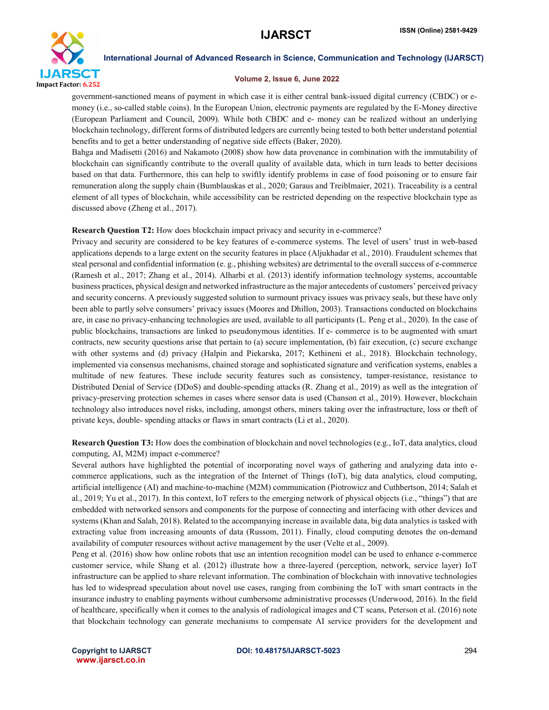

# Volume 2, Issue 6, June 2022

government-sanctioned means of payment in which case it is either central bank-issued digital currency (CBDC) or emoney (i.e., so-called stable coins). In the European Union, electronic payments are regulated by the E-Money directive (European Parliament and Council, 2009). While both CBDC and e- money can be realized without an underlying blockchain technology, different forms of distributed ledgers are currently being tested to both better understand potential benefits and to get a better understanding of negative side effects (Baker, 2020).

Bahga and Madisetti (2016) and Nakamoto (2008) show how data provenance in combination with the immutability of blockchain can significantly contribute to the overall quality of available data, which in turn leads to better decisions based on that data. Furthermore, this can help to swiftly identify problems in case of food poisoning or to ensure fair remuneration along the supply chain (Bumblauskas et al., 2020; Garaus and Treiblmaier, 2021). Traceability is a central element of all types of blockchain, while accessibility can be restricted depending on the respective blockchain type as discussed above (Zheng et al., 2017).

# Research Question T2: How does blockchain impact privacy and security in e-commerce?

Privacy and security are considered to be key features of e-commerce systems. The level of users' trust in web-based applications depends to a large extent on the security features in place (Aljukhadar et al., 2010). Fraudulent schemes that steal personal and confidential information (e. g., phishing websites) are detrimental to the overall success of e-commerce (Ramesh et al., 2017; Zhang et al., 2014). Alharbi et al. (2013) identify information technology systems, accountable business practices, physical design and networked infrastructure as the major antecedents of customers' perceived privacy and security concerns. A previously suggested solution to surmount privacy issues was privacy seals, but these have only been able to partly solve consumers' privacy issues (Moores and Dhillon, 2003). Transactions conducted on blockchains are, in case no privacy-enhancing technologies are used, available to all participants (L. Peng et al., 2020). In the case of public blockchains, transactions are linked to pseudonymous identities. If e- commerce is to be augmented with smart contracts, new security questions arise that pertain to (a) secure implementation, (b) fair execution, (c) secure exchange with other systems and (d) privacy (Halpin and Piekarska, 2017; Kethineni et al., 2018). Blockchain technology, implemented via consensus mechanisms, chained storage and sophisticated signature and verification systems, enables a multitude of new features. These include security features such as consistency, tamper-resistance, resistance to Distributed Denial of Service (DDoS) and double-spending attacks (R. Zhang et al., 2019) as well as the integration of privacy-preserving protection schemes in cases where sensor data is used (Chanson et al., 2019). However, blockchain technology also introduces novel risks, including, amongst others, miners taking over the infrastructure, loss or theft of private keys, double- spending attacks or flaws in smart contracts (Li et al., 2020).

Research Question T3: How does the combination of blockchain and novel technologies (e.g., IoT, data analytics, cloud computing, AI, M2M) impact e-commerce?

Several authors have highlighted the potential of incorporating novel ways of gathering and analyzing data into ecommerce applications, such as the integration of the Internet of Things (IoT), big data analytics, cloud computing, artificial intelligence (AI) and machine-to-machine (M2M) communication (Piotrowicz and Cuthbertson, 2014; Salah et al., 2019; Yu et al., 2017). In this context, IoT refers to the emerging network of physical objects (i.e., "things") that are embedded with networked sensors and components for the purpose of connecting and interfacing with other devices and systems (Khan and Salah, 2018). Related to the accompanying increase in available data, big data analytics is tasked with extracting value from increasing amounts of data (Russom, 2011). Finally, cloud computing denotes the on-demand availability of computer resources without active management by the user (Velte et al., 2009).

Peng et al. (2016) show how online robots that use an intention recognition model can be used to enhance e-commerce customer service, while Shang et al. (2012) illustrate how a three-layered (perception, network, service layer) IoT infrastructure can be applied to share relevant information. The combination of blockchain with innovative technologies has led to widespread speculation about novel use cases, ranging from combining the IoT with smart contracts in the insurance industry to enabling payments without cumbersome administrative processes (Underwood, 2016). In the field of healthcare, specifically when it comes to the analysis of radiological images and CT scans, Peterson et al. (2016) note that blockchain technology can generate mechanisms to compensate AI service providers for the development and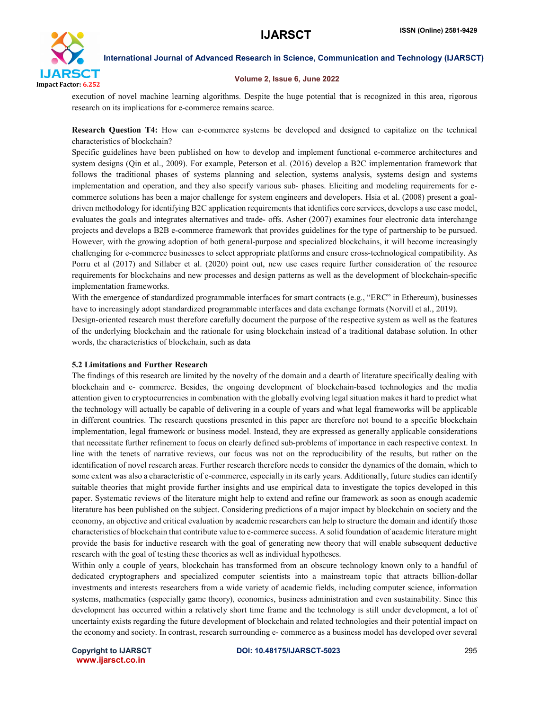

# Volume 2, Issue 6, June 2022

execution of novel machine learning algorithms. Despite the huge potential that is recognized in this area, rigorous research on its implications for e-commerce remains scarce.

Research Question T4: How can e-commerce systems be developed and designed to capitalize on the technical characteristics of blockchain?

Specific guidelines have been published on how to develop and implement functional e-commerce architectures and system designs (Qin et al., 2009). For example, Peterson et al. (2016) develop a B2C implementation framework that follows the traditional phases of systems planning and selection, systems analysis, systems design and systems implementation and operation, and they also specify various sub- phases. Eliciting and modeling requirements for ecommerce solutions has been a major challenge for system engineers and developers. Hsia et al. (2008) present a goaldriven methodology for identifying B2C application requirements that identifies core services, develops a use case model, evaluates the goals and integrates alternatives and trade- offs. Asher (2007) examines four electronic data interchange projects and develops a B2B e-commerce framework that provides guidelines for the type of partnership to be pursued. However, with the growing adoption of both general-purpose and specialized blockchains, it will become increasingly challenging for e-commerce businesses to select appropriate platforms and ensure cross-technological compatibility. As Porru et al (2017) and Sillaber et al. (2020) point out, new use cases require further consideration of the resource requirements for blockchains and new processes and design patterns as well as the development of blockchain-specific implementation frameworks.

With the emergence of standardized programmable interfaces for smart contracts (e.g., "ERC" in Ethereum), businesses have to increasingly adopt standardized programmable interfaces and data exchange formats (Norvill et al., 2019).

Design-oriented research must therefore carefully document the purpose of the respective system as well as the features of the underlying blockchain and the rationale for using blockchain instead of a traditional database solution. In other words, the characteristics of blockchain, such as data

# 5.2 Limitations and Further Research

The findings of this research are limited by the novelty of the domain and a dearth of literature specifically dealing with blockchain and e- commerce. Besides, the ongoing development of blockchain-based technologies and the media attention given to cryptocurrencies in combination with the globally evolving legal situation makes it hard to predict what the technology will actually be capable of delivering in a couple of years and what legal frameworks will be applicable in different countries. The research questions presented in this paper are therefore not bound to a specific blockchain implementation, legal framework or business model. Instead, they are expressed as generally applicable considerations that necessitate further refinement to focus on clearly defined sub-problems of importance in each respective context. In line with the tenets of narrative reviews, our focus was not on the reproducibility of the results, but rather on the identification of novel research areas. Further research therefore needs to consider the dynamics of the domain, which to some extent was also a characteristic of e-commerce, especially in its early years. Additionally, future studies can identify suitable theories that might provide further insights and use empirical data to investigate the topics developed in this paper. Systematic reviews of the literature might help to extend and refine our framework as soon as enough academic literature has been published on the subject. Considering predictions of a major impact by blockchain on society and the economy, an objective and critical evaluation by academic researchers can help to structure the domain and identify those characteristics of blockchain that contribute value to e-commerce success. A solid foundation of academic literature might provide the basis for inductive research with the goal of generating new theory that will enable subsequent deductive research with the goal of testing these theories as well as individual hypotheses.

Within only a couple of years, blockchain has transformed from an obscure technology known only to a handful of dedicated cryptographers and specialized computer scientists into a mainstream topic that attracts billion-dollar investments and interests researchers from a wide variety of academic fields, including computer science, information systems, mathematics (especially game theory), economics, business administration and even sustainability. Since this development has occurred within a relatively short time frame and the technology is still under development, a lot of uncertainty exists regarding the future development of blockchain and related technologies and their potential impact on the economy and society. In contrast, research surrounding e- commerce as a business model has developed over several